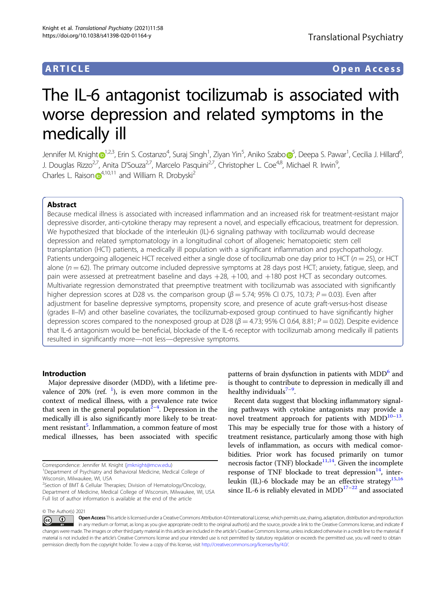## ARTICLE Open Access

# The IL-6 antagonist tocilizumab is associated with worse depression and related symptoms in the medically ill

Jennifer M. Knigh[t](http://orcid.org/0000-0002-9140-3109) D<sup>[1](http://orcid.org/0000-0002-9140-3109),2,3</sup>, Erin S. Costanzo<sup>4</sup>, Suraj Singh<sup>1</sup>, Ziyan Yin<sup>[5](http://orcid.org/0000-0002-8129-0614)</sup>, Aniko Szabo D<sup>5</sup>, Deepa S. Pawar<sup>1</sup>, Cecilia J. Hillard<sup>6</sup> , J. Douglas Rizzo<sup>2,7</sup>, Anita D'Souza<sup>2,7</sup>, Marcelo Pasquini<sup>2,7</sup>, Christopher L. Coe<sup>4,8</sup>, Michael R. Irwin<sup>9</sup>, , Charles L. Raiso[n](http://orcid.org/0000-0001-6687-0066)  $\mathbb{D}^{4,10,11}$  $\mathbb{D}^{4,10,11}$  $\mathbb{D}^{4,10,11}$  and William R. Drobyski<sup>2</sup>

#### Abstract

Because medical illness is associated with increased inflammation and an increased risk for treatment-resistant major depressive disorder, anti-cytokine therapy may represent a novel, and especially efficacious, treatment for depression. We hypothesized that blockade of the interleukin (IL)-6 signaling pathway with tocilizumab would decrease depression and related symptomatology in a longitudinal cohort of allogeneic hematopoietic stem cell transplantation (HCT) patients, a medically ill population with a significant inflammation and psychopathology. Patients undergoing allogeneic HCT received either a single dose of tocilizumab one day prior to HCT ( $n = 25$ ), or HCT alone ( $n = 62$ ). The primary outcome included depressive symptoms at 28 days post HCT; anxiety, fatigue, sleep, and pain were assessed at pretreatment baseline and days  $+28$ ,  $+100$ , and  $+180$  post HCT as secondary outcomes. Multivariate regression demonstrated that preemptive treatment with tocilizumab was associated with significantly higher depression scores at D28 vs. the comparison group ( $\beta$  = 5.74; 95% CI 0.75, 10.73; P = 0.03). Even after adjustment for baseline depressive symptoms, propensity score, and presence of acute graft-versus-host disease (grades II–IV) and other baseline covariates, the tocilizumab-exposed group continued to have significantly higher depression scores compared to the nonexposed group at D28 ( $\beta$  = 4.73; 95% CI 0.64, 8.81; P = 0.02). Despite evidence that IL-6 antagonism would be beneficial, blockade of the IL-6 receptor with tocilizumab among medically ill patients resulted in significantly more—not less—depressive symptoms.

#### Introduction

Major depressive disorder (MDD), with a lifetime prevalence of 20% (ref.  $\frac{1}{1}$  $\frac{1}{1}$  $\frac{1}{1}$ ), is even more common in the context of medical illness, with a prevalence rate twice that seen in the general population $^{\tilde{2}-4}.$  $^{\tilde{2}-4}.$  $^{\tilde{2}-4}.$  $^{\tilde{2}-4}.$  $^{\tilde{2}-4}.$  Depression in the medically ill is also significantly more likely to be treat-ment resistant<sup>[5](#page-7-0)</sup>. Inflammation, a common feature of most medical illnesses, has been associated with specific

patterns of brain dysfunction in patients with MDD<sup>[6](#page-7-0)</sup> and is thought to contribute to depression in medically ill and healthy individuals $7-9$  $7-9$  $7-9$ .

Recent data suggest that blocking inflammatory signaling pathways with cytokine antagonists may provide a novel treatment approach for patients with  $MDD^{10-13}$  $MDD^{10-13}$  $MDD^{10-13}$  $MDD^{10-13}$  $MDD^{10-13}$ . This may be especially true for those with a history of treatment resistance, particularly among those with high levels of inflammation, as occurs with medical comorbidities. Prior work has focused primarily on tumor necrosis factor (TNF) blockade<sup>11,14</sup>. Given the incomplete response of TNF blockade to treat depression $14$ , inter-leukin (IL)-6 blockade may be an effective strategy<sup>[15,16](#page-7-0)</sup> since IL-6 is reliably elevated in  $MDD^{17-22}$  $MDD^{17-22}$  $MDD^{17-22}$  and associated

© The Author(s) 2021

Correspondence: Jennifer M. Knight [\(jmknight@mcw.edu](mailto:jmknight@mcw.edu)) <sup>1</sup>

<sup>&</sup>lt;sup>1</sup>Department of Psychiatry and Behavioral Medicine, Medical College of Wisconsin, Milwaukee, WI, USA

<sup>&</sup>lt;sup>2</sup>Section of BMT & Cellular Therapies; Division of Hematology/Oncology, Department of Medicine, Medical College of Wisconsin, Milwaukee, WI, USA Full list of author information is available at the end of the article

Open Access This article is licensed under a Creative Commons Attribution 4.0 International License, which permits use, sharing, adaptation, distribution and reproduction ം ന  $\left[{\rm (cc)}\right]$ in any medium or format, as long as you give appropriate credit to the original author(s) and the source, provide a link to the Creative Commons license, and indicate if changes were made. The images or other third party material in this article are included in the article's Creative Commons license, unless indicated otherwise in a credit line to the material. If material is not included in the article's Creative Commons license and your intended use is not permitted by statutory regulation or exceeds the permitted use, you will need to obtain permission directly from the copyright holder. To view a copy of this license, visit <http://creativecommons.org/licenses/by/4.0/>.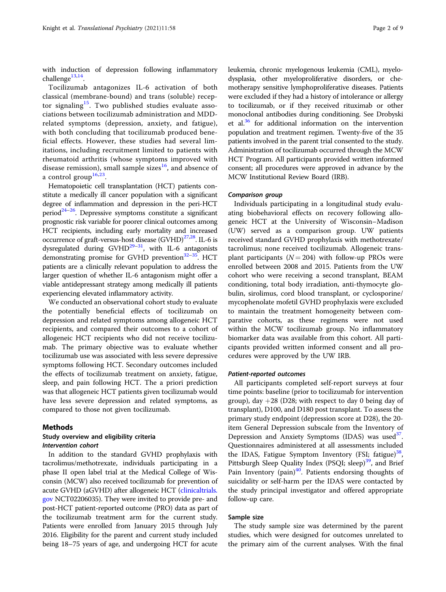with induction of depression following inflammatory challenge $13,14$ .

Tocilizumab antagonizes IL-6 activation of both classical (membrane-bound) and trans (soluble) recep-tor signaling<sup>[15](#page-7-0)</sup>. Two published studies evaluate associations between tocilizumab administration and MDDrelated symptoms (depression, anxiety, and fatigue), with both concluding that tocilizumab produced beneficial effects. However, these studies had several limitations, including recruitment limited to patients with rheumatoid arthritis (whose symptoms improved with disease remission), small sample sizes<sup>[16](#page-7-0)</sup>, and absence of a control group<sup>[16](#page-7-0)[,23](#page-8-0)</sup>.

Hematopoietic cell transplantation (HCT) patients constitute a medically ill cancer population with a significant degree of inflammation and depression in the peri-HCT period<sup>24–[26](#page-8-0)</sup>. Depressive symptoms constitute a significant prognostic risk variable for poorer clinical outcomes among HCT recipients, including early mortality and increased occurrence of graft-versus-host disease  $(GVHD)^{27,28}$ . IL-6 is dysregulated during GVHD $^{29-31}$  $^{29-31}$  $^{29-31}$  $^{29-31}$  $^{29-31}$ , with IL-6 antagonists demonstrating promise for GVHD prevention $32-35$ . HCT patients are a clinically relevant population to address the larger question of whether IL-6 antagonism might offer a viable antidepressant strategy among medically ill patients experiencing elevated inflammatory activity.

We conducted an observational cohort study to evaluate the potentially beneficial effects of tocilizumab on depression and related symptoms among allogeneic HCT recipients, and compared their outcomes to a cohort of allogeneic HCT recipients who did not receive tocilizumab. The primary objective was to evaluate whether tocilizumab use was associated with less severe depressive symptoms following HCT. Secondary outcomes included the effects of tocilizumab treatment on anxiety, fatigue, sleep, and pain following HCT. The a priori prediction was that allogeneic HCT patients given tocilizumab would have less severe depression and related symptoms, as compared to those not given tocilizumab.

#### Methods

#### Study overview and eligibility criteria Intervention cohort

In addition to the standard GVHD prophylaxis with tacrolimus/methotrexate, individuals participating in a phase II open label trial at the Medical College of Wisconsin (MCW) also received tocilizumab for prevention of acute GVHD (aGVHD) after allogeneic HCT [\(clinicaltrials.](http://clinicaltrials.gov) [gov](http://clinicaltrials.gov) NCT02206035). They were invited to provide pre- and post-HCT patient-reported outcome (PRO) data as part of the tocilizumab treatment arm for the current study. Patients were enrolled from January 2015 through July 2016. Eligibility for the parent and current study included being 18–75 years of age, and undergoing HCT for acute leukemia, chronic myelogenous leukemia (CML), myelodysplasia, other myeloproliferative disorders, or chemotherapy sensitive lymphoproliferative diseases. Patients were excluded if they had a history of intolerance or allergy to tocilizumab, or if they received rituximab or other monoclonal antibodies during conditioning. See Drobyski et al.<sup>[36](#page-8-0)</sup> for additional information on the intervention population and treatment regimen. Twenty-five of the 35 patients involved in the parent trial consented to the study. Administration of tocilizumab occurred through the MCW HCT Program. All participants provided written informed consent; all procedures were approved in advance by the MCW Institutional Review Board (IRB).

#### Comparison group

Individuals participating in a longitudinal study evaluating biobehavioral effects on recovery following allogeneic HCT at the University of Wisconsin–Madison (UW) served as a comparison group. UW patients received standard GVHD prophylaxis with methotrexate/ tacrolimus; none received tocilizumab. Allogeneic transplant participants ( $N = 204$ ) with follow-up PROs were enrolled between 2008 and 2015. Patients from the UW cohort who were receiving a second transplant, BEAM conditioning, total body irradiation, anti-thymocyte globulin, sirolimus, cord blood transplant, or cyclosporine/ mycophenolate mofetil GVHD prophylaxis were excluded to maintain the treatment homogeneity between comparative cohorts, as these regimens were not used within the MCW tocilizumab group. No inflammatory biomarker data was available from this cohort. All participants provided written informed consent and all procedures were approved by the UW IRB.

#### Patient-reported outcomes

All participants completed self-report surveys at four time points: baseline (prior to tocilizumab for intervention group), day  $+28$  (D28; with respect to day 0 being day of transplant), D100, and D180 post transplant. To assess the primary study endpoint (depression score at D28), the 20 item General Depression subscale from the Inventory of Depression and Anxiety Symptoms (IDAS) was used<sup>[37](#page-8-0)</sup>. Questionnaires administered at all assessments included the IDAS, Fatigue Symptom Inventory (FSI; fatigue) $38$ , Pittsburgh Sleep Quality Index (PSQI; sleep)<sup>[39](#page-8-0)</sup>, and Brief Pain Inventory (pain) $40$ . Patients endorsing thoughts of suicidality or self-harm per the IDAS were contacted by the study principal investigator and offered appropriate follow-up care.

#### Sample size

The study sample size was determined by the parent studies, which were designed for outcomes unrelated to the primary aim of the current analyses. With the final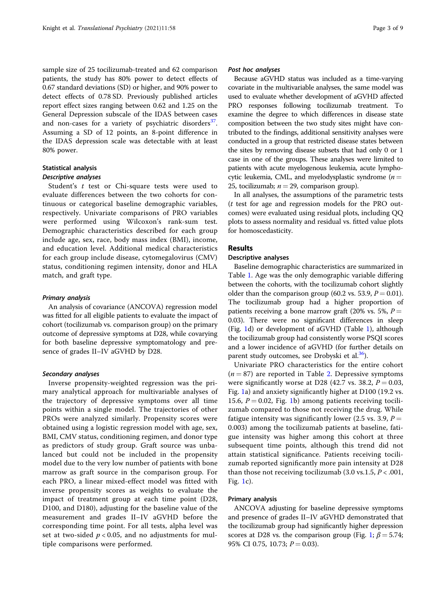sample size of 25 tocilizumab-treated and 62 comparison patients, the study has 80% power to detect effects of 0.67 standard deviations (SD) or higher, and 90% power to detect effects of 0.78 SD. Previously published articles report effect sizes ranging between 0.62 and 1.25 on the General Depression subscale of the IDAS between cases and non-cases for a variety of psychiatric disorders<sup>[37](#page-8-0)</sup>. Assuming a SD of 12 points, an 8-point difference in the IDAS depression scale was detectable with at least 80% power.

#### Statistical analysis

#### Descriptive analyses

Student's t test or Chi-square tests were used to evaluate differences between the two cohorts for continuous or categorical baseline demographic variables, respectively. Univariate comparisons of PRO variables were performed using Wilcoxon's rank-sum test. Demographic characteristics described for each group include age, sex, race, body mass index (BMI), income, and education level. Additional medical characteristics for each group include disease, cytomegalovirus (CMV) status, conditioning regimen intensity, donor and HLA match, and graft type.

#### Primary analysis

An analysis of covariance (ANCOVA) regression model was fitted for all eligible patients to evaluate the impact of cohort (tocilizumab vs. comparison group) on the primary outcome of depressive symptoms at D28, while covarying for both baseline depressive symptomatology and presence of grades II–IV aGVHD by D28.

#### Secondary analyses

Inverse propensity-weighted regression was the primary analytical approach for multivariable analyses of the trajectory of depressive symptoms over all time points within a single model. The trajectories of other PROs were analyzed similarly. Propensity scores were obtained using a logistic regression model with age, sex, BMI, CMV status, conditioning regimen, and donor type as predictors of study group. Graft source was unbalanced but could not be included in the propensity model due to the very low number of patients with bone marrow as graft source in the comparison group. For each PRO, a linear mixed-effect model was fitted with inverse propensity scores as weights to evaluate the impact of treatment group at each time point (D28, D100, and D180), adjusting for the baseline value of the measurement and grades II–IV aGVHD before the corresponding time point. For all tests, alpha level was set at two-sided  $p < 0.05$ , and no adjustments for multiple comparisons were performed.

#### Post hoc analyses

Because aGVHD status was included as a time-varying covariate in the multivariable analyses, the same model was used to evaluate whether development of aGVHD affected PRO responses following tocilizumab treatment. To examine the degree to which differences in disease state composition between the two study sites might have contributed to the findings, additional sensitivity analyses were conducted in a group that restricted disease states between the sites by removing disease subsets that had only 0 or 1 case in one of the groups. These analyses were limited to patients with acute myelogenous leukemia, acute lymphocytic leukemia, CML, and myelodysplastic syndrome  $(n =$ 25, tocilizumab;  $n = 29$ , comparison group).

In all analyses, the assumptions of the parametric tests (t test for age and regression models for the PRO outcomes) were evaluated using residual plots, including QQ plots to assess normality and residual vs. fitted value plots for homoscedasticity.

### Results

#### Descriptive analyses

Baseline demographic characteristics are summarized in Table [1.](#page-3-0) Age was the only demographic variable differing between the cohorts, with the tocilizumab cohort slightly older than the comparison group (60.2 vs. 53.9,  $P = 0.01$ ). The tocilizumab group had a higher proportion of patients receiving a bone marrow graft (20% vs. 5%,  $P =$ 0.03). There were no significant differences in sleep (Fig. [1d](#page-4-0)) or development of aGVHD (Table [1\)](#page-3-0), although the tocilizumab group had consistently worse PSQI scores and a lower incidence of aGVHD (for further details on parent study outcomes, see Drobyski et al.<sup>36</sup>).

Univariate PRO characteristics for the entire cohort  $(n = 87)$  are reported in Table [2.](#page-5-0) Depressive symptoms were significantly worse at D28 (42.7 vs. 38.2,  $P = 0.03$ , Fig. [1](#page-4-0)a) and anxiety significantly higher at D100 (19.2 vs. 15.6,  $P = 0.02$ , Fig. [1b](#page-4-0)) among patients receiving tocilizumab compared to those not receiving the drug. While fatigue intensity was significantly lower (2.5 vs. 3.9,  $P =$ 0.003) among the tocilizumab patients at baseline, fatigue intensity was higher among this cohort at three subsequent time points, although this trend did not attain statistical significance. Patients receiving tocilizumab reported significantly more pain intensity at D28 than those not receiving tocilizumab (3.0 vs.1.5,  $P < .001$ , Fig. [1](#page-4-0)c).

#### Primary analysis

ANCOVA adjusting for baseline depressive symptoms and presence of grades II–IV aGVHD demonstrated that the tocilizumab group had significantly higher depression scores at D28 vs. the comparison group (Fig. [1;](#page-4-0)  $\beta = 5.74$ ; 95% CI 0.75, 10.73;  $P = 0.03$ ).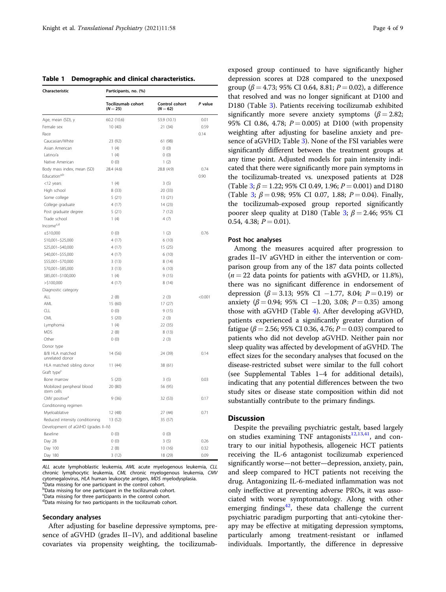<span id="page-3-0"></span>Table 1 Demographic and clinical characteristics.

| Characteristic                           | Participants, no. (%)            |                              |         |  |  |
|------------------------------------------|----------------------------------|------------------------------|---------|--|--|
|                                          | Tocilizumab cohort<br>$(N = 25)$ | Control cohort<br>$(N = 62)$ | P value |  |  |
| Age, mean (SD), y                        | 60.2 (10.6)                      | 53.9 (10.1)                  | 0.01    |  |  |
| Female sex                               | 10(40)                           | 21 (34)                      | 0.59    |  |  |
| Race                                     |                                  |                              | 0.14    |  |  |
| Caucasian/White                          | 23 (92)                          | 61 (98)                      |         |  |  |
| Asian American                           | 1(4)                             | 0(0)                         |         |  |  |
| Latino/a                                 | 1(4)                             | 0(0)                         |         |  |  |
| Native American                          | 0(0)                             | 1(2)                         |         |  |  |
| Body mass index, mean (SD)               | 28.4 (4.6)                       | 28.8 (4.9)                   | 0.74    |  |  |
| Education <sup>a,b</sup>                 |                                  |                              | 0.90    |  |  |
| <12 years                                | 1(4)                             | 3(5)                         |         |  |  |
| High school                              | 8(33)                            | 20 (33)                      |         |  |  |
| Some college                             | 5(21)                            | 13 (21)                      |         |  |  |
| College graduate                         | 4(17)                            | 14 (23)                      |         |  |  |
| Post graduate degree                     | 5(21)                            | 7(12)                        |         |  |  |
| Trade school                             | 1(4)                             | 4(7)                         |         |  |  |
| Income <sup>c,d</sup>                    |                                  |                              |         |  |  |
| $\le$ \$10,000                           | 0(0)                             | 1(2)                         | 0.76    |  |  |
| \$10,001-\$25,000                        | 4(17)                            | 6(10)                        |         |  |  |
| \$25,001-\$40,000                        | 4(17)                            | 15 (25)                      |         |  |  |
| \$40,001-\$55,000                        | 4(17)                            | 6(10)                        |         |  |  |
| \$55,001-\$70,000                        | 3(13)                            | 8(14)                        |         |  |  |
| \$70,001-\$85,000                        | 3(13)                            | 6(10)                        |         |  |  |
| \$85,001-\$100,000                       | 1(4)                             | 9(15)                        |         |  |  |
| $>$ \$100,000                            | 4(17)                            | 8(14)                        |         |  |  |
| Diagnostic category                      |                                  |                              |         |  |  |
| ALL                                      | 2(8)                             | 2(3)                         | < 0.001 |  |  |
| AML                                      | 15 (60)                          | 17(27)                       |         |  |  |
| <b>CLL</b>                               | 0(0)                             | 9(15)                        |         |  |  |
| CML                                      | 5(20)                            | 2(3)                         |         |  |  |
| Lymphoma                                 | 1(4)                             | 22 (35)                      |         |  |  |
| <b>MDS</b>                               | 2(8)                             | 8(13)                        |         |  |  |
| Other                                    | 0(0)                             | 2(3)                         |         |  |  |
| Donor type                               |                                  |                              |         |  |  |
| 8/8 HLA matched                          | 14 (56)                          | 24 (39)                      | 0.14    |  |  |
| unrelated donor                          |                                  |                              |         |  |  |
| HLA matched sibling donor                | 11(44)                           | 38 (61)                      |         |  |  |
| Graft type <sup>c</sup>                  |                                  |                              |         |  |  |
| Bone marrow                              | 5(20)                            | 3(5)                         | 0.03    |  |  |
| Mobilized peripheral blood<br>stem cells | 20 (80)                          | 56 (95)                      |         |  |  |
| CMV positive <sup>a</sup>                | 9(36)                            | 32 (53)                      | 0.17    |  |  |
| Conditioning regimen                     |                                  |                              |         |  |  |
| Myeloablative                            | 12 (48)                          | 27 (44)                      | 0.71    |  |  |
| Reduced intensity conditioning           | 13 (52)                          | 35 (57)                      |         |  |  |
| Development of aGVHD (grades II-IV)      |                                  |                              |         |  |  |
| Baseline                                 | 0(0)                             | 0(0)                         |         |  |  |
| Day 28                                   | 0(0)                             | 3(5)                         | 0.26    |  |  |
| Day 100                                  | 2(8)                             | 10 (16)                      | 0.32    |  |  |
| Day 180                                  | 3(12)                            | 18 (29)                      | 0.09    |  |  |

ALL acute lymphoblastic leukemia, AML acute myelogenous leukemia, CLL chronic lymphocytic leukemia, CML chronic myelogenous leukemia, CMV cytomegalovirus, HLA human leukocyte antigen, MDS myelodysplasia. <sup>a</sup>Data missing for one participant in the control cohort.

b Data missing for one participant in the tocilizumab cohort.

Data missing for three participants in the control cohort.

dData missing for two participants in the tocilizumab cohort.

#### Secondary analyses

After adjusting for baseline depressive symptoms, presence of aGVHD (grades II–IV), and additional baseline covariates via propensity weighting, the tocilizumab-

exposed group continued to have significantly higher depression scores at D28 compared to the unexposed group ( $\beta = 4.73$ ; 95% CI 0.64, 8.81;  $P = 0.02$ ), a difference that resolved and was no longer significant at D100 and D180 (Table [3\)](#page-6-0). Patients receiving tocilizumab exhibited significantly more severe anxiety symptoms ( $\beta$  = 2.82; 95% CI 0.86, 4.78;  $P = 0.005$ ) at D100 (with propensity weighting after adjusting for baseline anxiety and presence of aGVHD; Table [3\)](#page-6-0). None of the FSI variables were significantly different between the treatment groups at any time point. Adjusted models for pain intensity indicated that there were significantly more pain symptoms in the tocilizumab-treated vs. unexposed patients at D28 (Table [3](#page-6-0);  $\beta$  = 1.22; 95% CI 0.49, 1.96;  $P$  = 0.001) and D180 (Table [3;](#page-6-0)  $\beta = 0.98$ ; 95% CI 0.07, 1.88;  $P = 0.04$ ). Finally, the tocilizumab-exposed group reported significantly poorer sleep quality at D180 (Table [3;](#page-6-0)  $\beta$  = 2.46; 95% CI 0.54, 4.38;  $P = 0.01$ ).

#### Post hoc analyses

Among the measures acquired after progression to grades II–IV aGVHD in either the intervention or comparison group from any of the 187 data points collected  $(n = 22$  data points for patients with aGVHD, or 11.8%), there was no significant difference in endorsement of depression ( $\beta$  = 3.13; 95% CI −1.77, 8.04; P = 0.19) or anxiety ( $\beta = 0.94$ ; 95% CI −1.20, 3.08; P = 0.35) among those with aGVHD (Table [4\)](#page-6-0). After developing aGVHD, patients experienced a significantly greater duration of fatigue ( $\beta$  = 2.56; 95% CI 0.36, 4.76;  $P = 0.03$ ) compared to patients who did not develop aGVHD. Neither pain nor sleep quality was affected by development of aGVHD. The effect sizes for the secondary analyses that focused on the disease-restricted subset were similar to the full cohort (see Supplemental Tables 1–4 for additional details), indicating that any potential differences between the two study sites or disease state composition within did not substantially contribute to the primary findings.

#### **Discussion**

Despite the prevailing psychiatric gestalt, based largely on studies examining TNF antagonists $12,13,41$  $12,13,41$ , and contrary to our initial hypothesis, allogeneic HCT patients receiving the IL-6 antagonist tocilizumab experienced significantly worse—not better—depression, anxiety, pain, and sleep compared to HCT patients not receiving the drug. Antagonizing IL-6-mediated inflammation was not only ineffective at preventing adverse PROs, it was associated with worse symptomatology. Along with other emerging findings<sup>[42](#page-8-0)</sup>, these data challenge the current psychiatric paradigm purporting that anti-cytokine therapy may be effective at mitigating depression symptoms, particularly among treatment-resistant or inflamed individuals. Importantly, the difference in depressive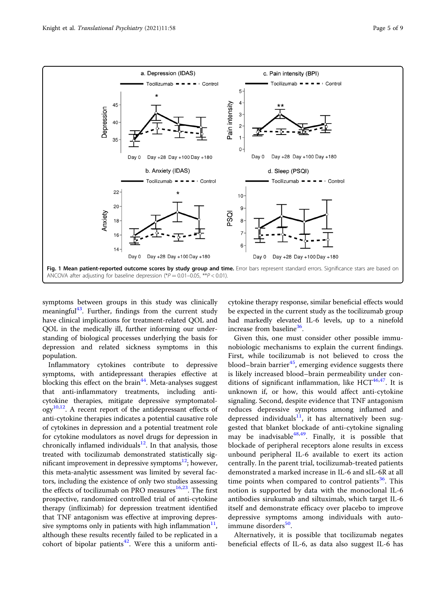<span id="page-4-0"></span>

symptoms between groups in this study was clinically meaningful<sup>43</sup>. Further, findings from the current study have clinical implications for treatment-related QOL and QOL in the medically ill, further informing our understanding of biological processes underlying the basis for depression and related sickness symptoms in this population.

Inflammatory cytokines contribute to depressive symptoms, with antidepressant therapies effective at blocking this effect on the brain $44$ . Meta-analyses suggest that anti-inflammatory treatments, including anticytokine therapies, mitigate depressive symptomatol- $\log y^{10,12}$  $\log y^{10,12}$  $\log y^{10,12}$  $\log y^{10,12}$  $\log y^{10,12}$ . A recent report of the antidepressant effects of anti-cytokine therapies indicates a potential causative role of cytokines in depression and a potential treatment role for cytokine modulators as novel drugs for depression in chronically inflamed individuals $12$ . In that analysis, those treated with tocilizumab demonstrated statistically significant improvement in depressive symptoms $12$ ; however, this meta-analytic assessment was limited by several factors, including the existence of only two studies assessing the effects of tocilizumab on PRO measures<sup>[16](#page-7-0),23</sup>. The first prospective, randomized controlled trial of anti-cytokine therapy (infliximab) for depression treatment identified that TNF antagonism was effective at improving depressive symptoms only in patients with high inflammation $11$ , although these results recently failed to be replicated in a cohort of bipolar patients<sup>42</sup>. Were this a uniform anti-

cytokine therapy response, similar beneficial effects would be expected in the current study as the tocilizumab group had markedly elevated IL-6 levels, up to a ninefold increase from baseline<sup>36</sup>.

Given this, one must consider other possible immunobiologic mechanisms to explain the current findings. First, while tocilizumab is not believed to cross the blood–brain barrier $^{45}$  $^{45}$  $^{45}$ , emerging evidence suggests there is likely increased blood–brain permeability under conditions of significant inflammation, like  $HCT^{46,47}$ . It is unknown if, or how, this would affect anti-cytokine signaling. Second, despite evidence that TNF antagonism reduces depressive symptoms among inflamed and depressed individuals<sup>[11](#page-7-0)</sup>, it has alternatively been suggested that blanket blockade of anti-cytokine signaling may be inadvisable  $48,49$  $48,49$ . Finally, it is possible that blockade of peripheral receptors alone results in excess unbound peripheral IL-6 available to exert its action centrally. In the parent trial, tocilizumab-treated patients demonstrated a marked increase in IL-6 and sIL-6R at all time points when compared to control patients<sup>[36](#page-8-0)</sup>. This notion is supported by data with the monoclonal IL-6 antibodies sirukumab and siltuximab, which target IL-6 itself and demonstrate efficacy over placebo to improve depressive symptoms among individuals with auto-immune disorders<sup>[50](#page-8-0)</sup>.

Alternatively, it is possible that tocilizumab negates beneficial effects of IL-6, as data also suggest IL-6 has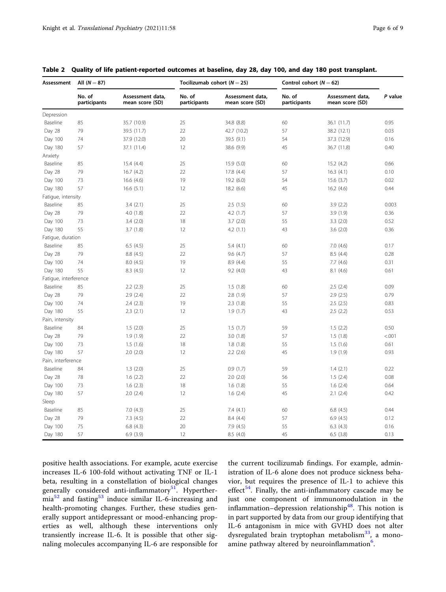| Assessment            | All $(N = 87)$         |                                     | Tocilizumab cohort ( $N = 25$ ) |                                     | Control cohort $(N = 62)$ |                                     |         |
|-----------------------|------------------------|-------------------------------------|---------------------------------|-------------------------------------|---------------------------|-------------------------------------|---------|
|                       | No. of<br>participants | Assessment data,<br>mean score (SD) | No. of<br>participants          | Assessment data,<br>mean score (SD) | No. of<br>participants    | Assessment data,<br>mean score (SD) | P value |
| Depression            |                        |                                     |                                 |                                     |                           |                                     |         |
| Baseline              | 85                     | 35.7 (10.9)                         | 25                              | 34.8 (8.8)                          | 60                        | 36.1 (11.7)                         | 0.95    |
| Day 28                | 79                     | 39.5 (11.7)                         | 22                              | 42.7 (10.2)                         | 57                        | 38.2 (12.1)                         | 0.03    |
| Day 100               | 74                     | 37.9 (12.0)                         | 20                              | 39.5 (9.1)                          | 54                        | 37.3 (12.9)                         | 0.16    |
| Day 180               | 57                     | 37.1 (11.4)                         | 12                              | 38.6 (9.9)                          | 45                        | 36.7 (11.8)                         | 0.40    |
| Anxiety               |                        |                                     |                                 |                                     |                           |                                     |         |
| Baseline              | 85                     | 15.4 (4.4)                          | 25                              | 15.9 (5.0)                          | 60                        | 15.2(4.2)                           | 0.66    |
| Day 28                | 79                     | 16.7(4.2)                           | 22                              | 17.8 (4.4)                          | 57                        | 16.3(4.1)                           | 0.10    |
| Day 100               | 73                     | 16.6 (4.6)                          | 19                              | 19.2 (6.0)                          | 54                        | 15.6 (3.7)                          | 0.02    |
| Day 180               | 57                     | 16.6(5.1)                           | 12                              | 18.2 (6.6)                          | 45                        | 16.2(4.6)                           | 0.44    |
| Fatigue, intensity    |                        |                                     |                                 |                                     |                           |                                     |         |
| Baseline              | 85                     | 3.4(2.1)                            | 25                              | 2.5(1.5)                            | 60                        | 3.9(2.2)                            | 0.003   |
| Day 28                | 79                     | 4.0(1.8)                            | 22                              | 4.2(1.7)                            | 57                        | 3.9(1.9)                            | 0.36    |
| Day 100               | 73                     | 3.4(2.0)                            | 18                              | 3.7(2.0)                            | 55                        | 3.3(2.0)                            | 0.52    |
| Day 180               | 55                     | 3.7(1.8)                            | 12                              | 4.2(1.1)                            | 43                        | 3.6(2.0)                            | 0.36    |
| Fatique, duration     |                        |                                     |                                 |                                     |                           |                                     |         |
| Baseline              | 85                     | 6.5(4.5)                            | 25                              | 5.4(4.1)                            | 60                        | 7.0(4.6)                            | 0.17    |
| Day 28                | 79                     | 8.8(4.5)                            | 22                              | 9.6(4.7)                            | 57                        | 8.5(4.4)                            | 0.28    |
| Day 100               | 74                     | 8.0(4.5)                            | 19                              | 8.9 (4.4)                           | 55                        | 7.7(4.6)                            | 0.31    |
| Day 180               | 55                     | 8.3(4.5)                            | 12                              | 9.2(4.0)                            | 43                        | 8.1(4.6)                            | 0.61    |
| Fatigue, interference |                        |                                     |                                 |                                     |                           |                                     |         |
| Baseline              | 85                     | 2.2(2.3)                            | 25                              | 1.5(1.8)                            | 60                        | 2.5(2.4)                            | 0.09    |
| Day 28                | 79                     | 2.9(2.4)                            | 22                              | 2.8(1.9)                            | 57                        | 2.9(2.5)                            | 0.79    |
| Day 100               | 74                     | 2.4(2.3)                            | 19                              | 2.3(1.8)                            | 55                        | 2.5(2.5)                            | 0.83    |
| Day 180               | 55                     | 2.3(2.1)                            | 12                              | 1.9(1.7)                            | 43                        | 2.5(2.2)                            | 0.53    |
| Pain, intensity       |                        |                                     |                                 |                                     |                           |                                     |         |
| Baseline              | 84                     | 1.5(2.0)                            | 25                              | 1.5(1.7)                            | 59                        | 1.5(2.2)                            | 0.50    |
| Day 28                | 79                     | 1.9(1.9)                            | 22                              | 3.0(1.8)                            | 57                        | 1.5(1.8)                            | < .001  |
| Day 100               | 73                     | 1.5(1.6)                            | 18                              | 1.8(1.8)                            | 55                        | 1.5(1.6)                            | 0.61    |
| Day 180               | 57                     | 2.0(2.0)                            | 12                              | 2.2(2.6)                            | 45                        | 1.9(1.9)                            | 0.93    |
| Pain, interference    |                        |                                     |                                 |                                     |                           |                                     |         |
| Baseline              | 84                     | 1.3(2.0)                            | 25                              | 0.9(1.7)                            | 59                        | 1.4(2.1)                            | 0.22    |
| Day 28                | 78                     | 1.6(2.2)                            | 22                              | 2.0(2.0)                            | 56                        | 1.5(2.4)                            | 0.08    |
| Day 100               | 73                     | 1.6(2.3)                            | 18                              | 1.6(1.8)                            | 55                        | 1.6(2.4)                            | 0.64    |
| Day 180               | 57                     | 2.0(2.4)                            | 12                              | 1.6(2.4)                            | 45                        | 2.1(2.4)                            | 0.42    |
| Sleep                 |                        |                                     |                                 |                                     |                           |                                     |         |
| Baseline              | 85                     | 7.0(4.3)                            | 25                              | 7.4(4.1)                            | 60                        | 6.8(4.5)                            | 0.44    |
| Day 28                | 79                     | 7.3(4.5)                            | 22                              | 8.4 (4.4)                           | 57                        | 6.9(4.5)                            | 0.12    |
| Day 100               | 75                     | 6.8(4.3)                            | 20                              | 7.9(4.5)                            | 55                        | 6.3(4.3)                            | 0.16    |
| Day 180               | 57                     | 6.9(3.9)                            | 12                              | 8.5(4.0)                            | 45                        | 6.5(3.8)                            | 0.13    |

<span id="page-5-0"></span>Table 2 Quality of life patient-reported outcomes at baseline, day 28, day 100, and day 180 post transplant.

positive health associations. For example, acute exercise increases IL-6 100-fold without activating TNF or IL-1 beta, resulting in a constellation of biological changes generally considered anti-inflammatory<sup>[51](#page-8-0)</sup>. Hyperther- $mia<sup>52</sup>$  $mia<sup>52</sup>$  $mia<sup>52</sup>$  and fasting<sup>[53](#page-8-0)</sup> induce similar IL-6-increasing and health-promoting changes. Further, these studies generally support antidepressant or mood-enhancing properties as well, although these interventions only transiently increase IL-6. It is possible that other signaling molecules accompanying IL-6 are responsible for the current tocilizumab findings. For example, administration of IL-6 alone does not produce sickness behavior, but requires the presence of IL-1 to achieve this effect<sup>54</sup>. Finally, the anti-inflammatory cascade may be just one component of immunomodulation in the inflammation–depression relationship<sup>[48](#page-8-0)</sup>. This notion is in part supported by data from our group identifying that IL-6 antagonism in mice with GVHD does not alter dysregulated brain tryptophan metabolism<sup>[33](#page-8-0)</sup>, a mono-amine pathway altered by neuroinflammation<sup>[6](#page-7-0)</sup>.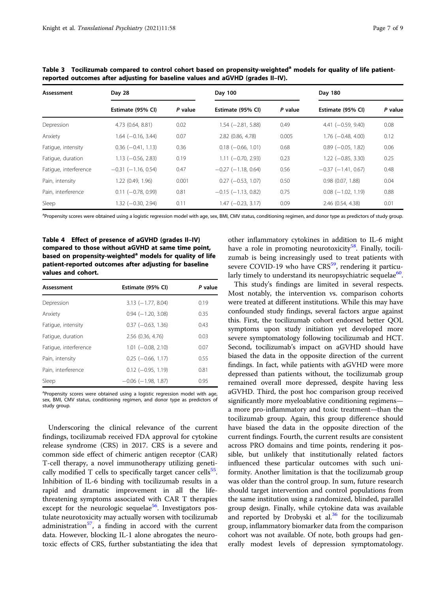| Assessment            | Day 28                    |         | Day 100                   |         | Day 180                  |         |
|-----------------------|---------------------------|---------|---------------------------|---------|--------------------------|---------|
|                       | Estimate (95% CI)         | P value | Estimate (95% CI)         | P value | Estimate (95% CI)        | P value |
| Depression            | 4.73 (0.64, 8.81)         | 0.02    | $1.54 (-2.81, 5.88)$      | 0.49    | $4.41 (-0.59, 9.40)$     | 0.08    |
| Anxiety               | $1.64 (-0.16, 3.44)$      | 0.07    | 2.82 (0.86, 4.78)         | 0.005   | $1.76 (-0.48, 4.00)$     | 0.12    |
| Fatigue, intensity    | $0.36$ ( $-0.41$ , 1.13)  | 0.36    | $0.18$ (-0.66, 1.01)      | 0.68    | $0.89$ ( $-0.05$ , 1.82) | 0.06    |
| Fatigue, duration     | $1.13$ (-0.56, 2.83)      | 0.19    | $1.11 (-0.70, 2.93)$      | 0.23    | $1.22 (-0.85, 3.30)$     | 0.25    |
| Fatigue, interference | $-0.31$ ( $-1.16$ , 0.54) | 0.47    | $-0.27$ ( $-1.18$ , 0.64) | 0.56    | $-0.37$ $(-1.41, 0.67)$  | 0.48    |
| Pain, intensity       | 1.22 (0.49, 1.96)         | 0.001   | $0.27$ ( $-0.53$ , 1.07)  | 0.50    | $0.98$ $(0.07, 1.88)$    | 0.04    |
| Pain, interference    | $0.11$ (-0.78, 0.99)      | 0.81    | $-0.15$ ( $-1.13$ , 0.82) | 0.75    | $0.08$ ( $-1.02$ , 1.19) | 0.88    |
| Sleep                 | 1.32 (-0.30, 2.94)        | 0.11    | $1.47$ $(-0.23, 3.17)$    | 0.09    | 2.46 (0.54, 4.38)        | 0.01    |

<span id="page-6-0"></span>Table 3 Tocilizumab compared to control cohort based on propensity-weighted<sup>a</sup> models for quality of life patientreported outcomes after adjusting for baseline values and aGVHD (grades II–IV).

<sup>a</sup>Propensity scores were obtained using a logistic regression model with age, sex, BMI, CMV status, conditioning regimen, and donor type as predictors of study group.

Table 4 Effect of presence of aGVHD (grades II–IV) compared to those without aGVHD at same time point, based on propensity-weighted<sup>a</sup> models for quality of life patient-reported outcomes after adjusting for baseline values and cohort.

| Assessment            | Estimate (95% CI)         | P value |  |
|-----------------------|---------------------------|---------|--|
| Depression            | $3.13 (-1.77, 8.04)$      | 0.19    |  |
| Anxiety               | $0.94 (-1.20, 3.08)$      | 0.35    |  |
| Fatigue, intensity    | $0.37$ ( $-0.63$ , 1.36)  | 0.43    |  |
| Fatigue, duration     | 2.56 (0.36, 4.76)         | 0.03    |  |
| Fatigue, interference | $1.01$ $(-0.08, 2.10)$    | 0.07    |  |
| Pain, intensity       | $0.25$ ( $-0.66$ , 1.17)  | 0.55    |  |
| Pain, interference    | $0.12$ (-0.95, 1.19)      | 0.81    |  |
| Sleep                 | $-0.06$ ( $-1.98$ , 1.87) | 0.95    |  |

<sup>a</sup>Propensity scores were obtained using a logistic regression model with age, sex, BMI, CMV status, conditioning regimen, and donor type as predictors of study group.

Underscoring the clinical relevance of the current findings, tocilizumab received FDA approval for cytokine release syndrome (CRS) in 2017. CRS is a severe and common side effect of chimeric antigen receptor (CAR) T-cell therapy, a novel immunotherapy utilizing genetically modified  $T$  cells to specifically target cancer cells<sup>[55](#page-8-0)</sup>. Inhibition of IL-6 binding with tocilizumab results in a rapid and dramatic improvement in all the lifethreatening symptoms associated with CAR T therapies except for the neurologic sequelae $56$ . Investigators postulate neurotoxicity may actually worsen with tocilizumab administration $57$ , a finding in accord with the current data. However, blocking IL-1 alone abrogates the neurotoxic effects of CRS, further substantiating the idea that

other inflammatory cytokines in addition to IL-6 might have a role in promoting neurotoxicity<sup>58</sup>. Finally, tocilizumab is being increasingly used to treat patients with severe COVID-19 who have  $CRS<sup>59</sup>$ , rendering it particularly timely to understand its neuropsychiatric sequelae $60$ .

This study's findings are limited in several respects. Most notably, the intervention vs. comparison cohorts were treated at different institutions. While this may have confounded study findings, several factors argue against this. First, the tocilizumab cohort endorsed better QOL symptoms upon study initiation yet developed more severe symptomatology following tocilizumab and HCT. Second, tocilizumab's impact on aGVHD should have biased the data in the opposite direction of the current findings. In fact, while patients with aGVHD were more depressed than patients without, the tocilizumab group remained overall more depressed, despite having less aGVHD. Third, the post hoc comparison group received significantly more myeloablative conditioning regimens a more pro-inflammatory and toxic treatment—than the tocilizumab group. Again, this group difference should have biased the data in the opposite direction of the current findings. Fourth, the current results are consistent across PRO domains and time points, rendering it possible, but unlikely that institutionally related factors influenced these particular outcomes with such uniformity. Another limitation is that the tocilizumab group was older than the control group. In sum, future research should target intervention and control populations from the same institution using a randomized, blinded, parallel group design. Finally, while cytokine data was available and reported by Drobyski et al. $36$  for the tocilizumab group, inflammatory biomarker data from the comparison cohort was not available. Of note, both groups had generally modest levels of depression symptomatology.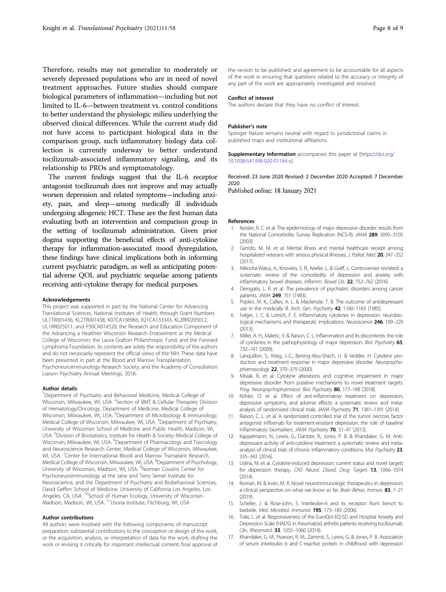<span id="page-7-0"></span>Therefore, results may not generalize to moderately or severely depressed populations who are in need of novel treatment approaches. Future studies should compare biological parameters of inflammation—including but not limited to IL-6—between treatment vs. control conditions to better understand the physiologic milieu underlying the observed clinical differences. While the current study did not have access to participant biological data in the comparison group, such inflammatory biology data collection is currently underway to better understand tocilizumab-associated inflammatory signaling, and its relationship to PROs and symptomatology.

The current findings suggest that the IL-6 receptor antagonist tocilizumab does not improve and may actually worsen depression and related symptoms—including anxiety, pain, and sleep—among medically ill individuals undergoing allogeneic HCT. These are the first human data evaluating both an intervention and comparison group in the setting of tocilizumab administration. Given prior dogma supporting the beneficial effects of anti-cytokine therapy for inflammation-associated mood dysregulation, these findings have clinical implications both in informing current psychiatric paradigm, as well as anticipating potential adverse QOL and psychiatric sequelae among patients receiving anti-cytokine therapy for medical purposes.

#### Acknowledgements

This project was supported in part by the National Center for Advancing Translational Sciences, National Institutes of Health, through Grant Numbers UL1TR001436, KL2TR001438, K07CA136966, R21CA133343, KL2RR0205012, UL1RR025011, and P30CA014520; the Research and Education Component of the Advancing a Healthier Wisconsin Research Endowment at the Medical College of Wisconsin; the Laura Gralton Philanthropic Fund; and the Forward Lymphoma Foundation. Its contents are solely the responsibility of the authors and do not necessarily represent the official views of the NIH. These data have been presented in part at the Blood and Marrow Transplantation, Psychoneuroimmunology Research Society, and the Academy of Consultation Liaison Psychiatry Annual Meetings, 2018.

#### Author details

<sup>1</sup>Department of Psychiatry and Behavioral Medicine, Medical College of Wisconsin, Milwaukee, WI, USA. <sup>2</sup>Section of BMT & Cellular Therapies; Division of Hematology/Oncology, Department of Medicine, Medical College of Wisconsin, Milwaukee, WI, USA. <sup>3</sup>Department of Microbiology & Immunology, Medical College of Wisconsin, Milwaukee, WI, USA. <sup>4</sup>Department of Psychiatry, University of Wisconsin School of Medicine and Public Health, Madison, WI, USA. <sup>5</sup>Division of Biostatistics, Institute for Health & Society; Medical College of Wisconsin, Milwaukee, WI, USA. <sup>6</sup>Department of Pharmacology and Toxicology and Neuroscience Research Center, Medical College of Wisconsin, Milwaukee, WI, USA. <sup>7</sup>Center for International Blood and Marrow Transplant Research, Medical College of Wisconsin, Milwaukee, WI, USA. <sup>8</sup>Department of Psychology, University of Wisconsin, Madison, WI, USA. <sup>9</sup>Norman Cousins Center for Psychoneuroimmunology at the Jane and Terry Semel Institute for Neuroscience, and the Department of Psychiatry and Biobehavioral Sciences; David Geffen School of Medicine, University of California Los Angeles, Los Angeles, CA, USA. <sup>10</sup>School of Human Ecology, University of Wisconsin-Madison, Madison, WI, USA. <sup>11</sup>Usona Institute, Fitchburg, WI, USA

#### Author contributions

All authors were involved with the following components of manuscript preparation: substantial contributions to the conception or design of the work, or the acquisition, analysis, or interpretation of data for the work; drafting the work or revising it critically for important intellectual content; final approval of

the version to be published; and agreement to be accountable for all aspects of the work in ensuring that questions related to the accuracy or integrity of any part of the work are appropriately investigated and resolved.

#### Conflict of interest

The authors declare that they have no conflict of interest.

#### Publisher's note

Springer Nature remains neutral with regard to jurisdictional claims in published maps and institutional affiliations.

Supplementary Information accompanies this paper at ([https://doi.org/](https://doi.org/10.1038/s41398-020-01164-y) [10.1038/s41398-020-01164-y](https://doi.org/10.1038/s41398-020-01164-y)).

Received: 23 June 2020 Revised: 2 December 2020 Accepted: 7 December 2020

Published online: 18 January 2021

#### References

- Kessler, R. C. et al. The epidemiology of major depressive disorder: results from the National Comorbidity Survey Replication (NCS-R). JAMA 289, 3095–3105 (2003).
- 2. Garrido, M. M. et al. Mental illness and mental healthcare receipt among hospitalized veterans with serious physical illnesses. J. Palliat. Med. 20, 247–252  $(2017)$
- 3. Mikocka-Walus, A., Knowles, S. R., Keefer, L. & Graff, L. Controversies revisited: a systematic review of the comorbidity of depression and anxiety with inflammatory bowel diseases. Inflamm. Bowel Dis. 22, 752–762 (2016).
- 4. Derogatis, L. R. et al. The prevalence of psychiatric disorders among cancer patients. JAMA 249, 751 (1983).
- 5. Popkin, M. K., Callies, A. L. & Mackenzie, T. B. The outcome of antidepressant use in the medically ill. Arch. Gen. Psychiatry 42, 1160-1163 (1985).
- 6. Felger, J. C. & Lotrich, F. E. Inflammatory cytokines in depression: neurobiological mechanisms and therapeutic implications. Neuroscience 246, 199-229  $(2013)$
- 7. Miller, A. H., Maletic, V. & Raison, C. L. Inflammation and its discontents: the role of cytokines in the pathophysiology of major depression. Biol. Psychiatry 65, 732–741 (2009).
- 8. Lanquillon, S., Krieg, J.-C., Bening-Abu-Shach, U. & Vedder, H. Cytokine production and treatment response in major depressive disorder. Neuropsychopharmacology 22, 370–379 (2000).
- 9. Misiak, B. et al. Cytokine alterations and cognitive impairment in major depressive disorder: from putative mechanisms to novel treatment targets. Prog. Neuropsychopharmacol. Biol. Psychiatry 80, 177-188 (2018).
- 10. Köhler, O. et al. Effect of anti-inflammatory treatment on depression, depressive symptoms, and adverse effects: a systematic review and metaanalysis of randomized clinical trials. JAMA Psychiatry 71, 1381-1391 (2014).
- 11. Raison, C. L. et al. A randomized controlled trial of the tumor necrosis factor antagonist infliximab for treatment-resistant depression: the role of baseline inflammatory biomarkers. JAMA Psychiatry 70, 31-41 (2013).
- 12. Kappelmann, N., Lewis, G., Dantzer, R., Jones, P. B. & Khandaker, G. M. Antidepressant activity of anti-cytokine treatment: a systematic review and metaanalysis of clinical trials of chronic inflammatory conditions. Mol. Psychiatry 23, 335–343 (2016).
- 13. Udina, M. et al. Cytokine-induced depression: current status and novel targets for depression therapy. CNS Neurol. Disord. Drug Targets 13, 1066–1074 (2014).
- 14. Roman, M. & Irwin, M. R. Novel neuroimmunologic therapeutics in depression: a clinical perspective on what we know so far. Brain Behav. Immun. 83, 7–21 (2019).
- 15. Scheller, J. & Rose-John, S. Interleukin-6 and its receptor: from bench to bedside. Med. Microbiol. Immunol. 195, 173–183 (2006).
- 16. Traki, L. et al. Responsiveness of the EuroQol EQ-5D and Hospital Anxiety and Depression Scale (HADS) in rheumatoid arthritis patients receiving tocilizumab. Clin. Rheumatol. 33, 1055-1060 (2014).
- 17. Khandaker, G. M., Pearson, R. M., Zammit, S., Lewis, G. & Jones, P. B. Association of serum interleukin 6 and C-reactive protein in childhood with depression